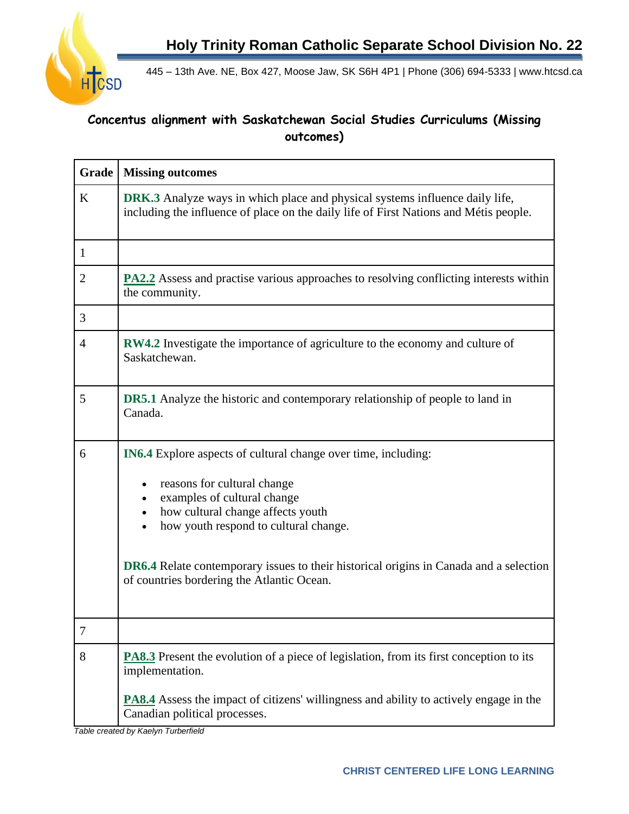**Holy Trinity Roman Catholic Separate School Division No. 22**



445 – 13th Ave. NE, Box 427, Moose Jaw, SK S6H 4P1 | Phone (306) 694-5333 | www.htcsd.ca

## **Concentus alignment with Saskatchewan Social Studies Curriculums (Missing outcomes)**

| <b>Grade</b>   | <b>Missing outcomes</b>                                                                                                                                                      |
|----------------|------------------------------------------------------------------------------------------------------------------------------------------------------------------------------|
| $\bf K$        | <b>DRK.3</b> Analyze ways in which place and physical systems influence daily life,<br>including the influence of place on the daily life of First Nations and Métis people. |
| $\mathbf{1}$   |                                                                                                                                                                              |
| $\overline{2}$ | <b>PA2.2</b> Assess and practise various approaches to resolving conflicting interests within<br>the community.                                                              |
| 3              |                                                                                                                                                                              |
| 4              | <b>RW4.2</b> Investigate the importance of agriculture to the economy and culture of<br>Saskatchewan.                                                                        |
| 5              | <b>DR5.1</b> Analyze the historic and contemporary relationship of people to land in<br>Canada.                                                                              |
| 6              | <b>IN6.4</b> Explore aspects of cultural change over time, including:                                                                                                        |
|                | reasons for cultural change<br>examples of cultural change<br>how cultural change affects youth<br>how youth respond to cultural change.                                     |
|                | <b>DR6.4</b> Relate contemporary issues to their historical origins in Canada and a selection<br>of countries bordering the Atlantic Ocean.                                  |
| 7              |                                                                                                                                                                              |
| 8              | <b>PA8.3</b> Present the evolution of a piece of legislation, from its first conception to its<br>implementation.                                                            |
|                | <b>PA8.4</b> Assess the impact of citizens' willingness and ability to actively engage in the<br>Canadian political processes.                                               |

*Table created by Kaelyn Turberfield*